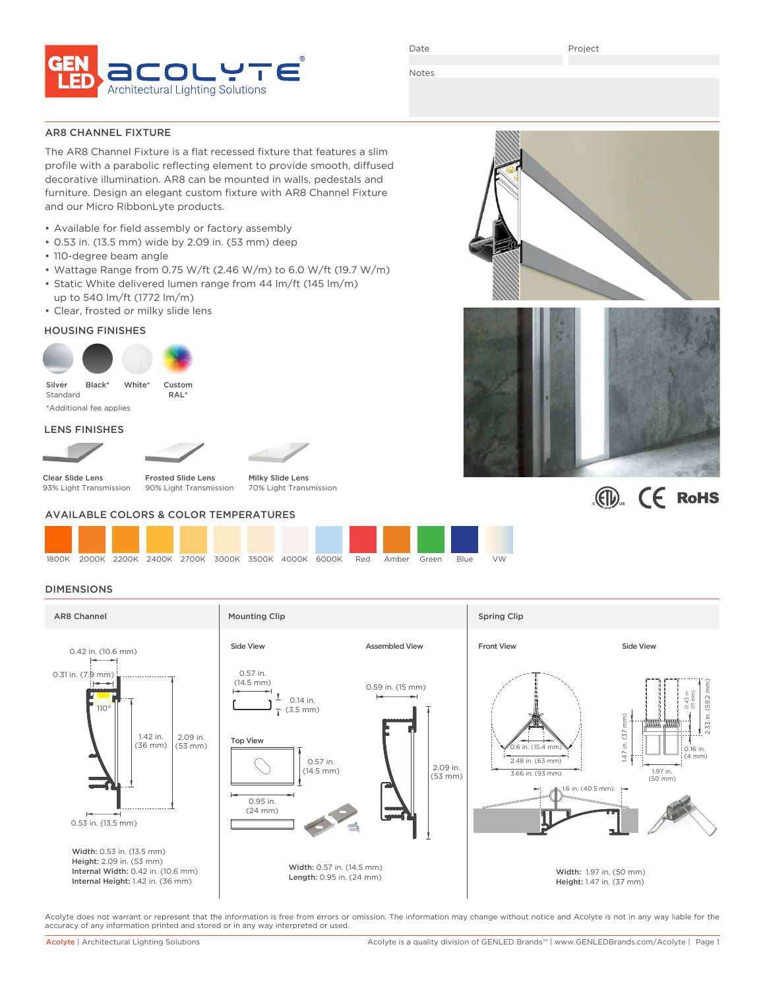

Date

Project

Notes

## AR8 CHANNEL FIXTURE

The AR8 Channel Fixture is a flat recessed fixture that features a slim profile with a parabolic reflecting element to provide smooth, diffused decorative illumination. AR8 can be mounted in walls, pedestals and furniture. Design an elegant custom fixture with AR8 Channel Fixture and our Micro RibbonLyte products.

- Available for field assembly or factory assembly
- 0.53 in. (13.5 mm) wide by 2.09 in. (53 mm) deep
- 110-degree beam angle
- Wattage Range from 0.75 W/ft (2.46 W/m) to 6.0 W/ft (19.7 W/m)
- Static White delivered lumen range from 44 lm/ft (145 lm/m) up to 540 lm/ft (1772 lm/m)
- Clear, frosted or milky slide lens

# HOUSING FINISHES



### LENS FINISHES



Frosted Slide Lens 90% Light Transmission

Milky Slide Lens 70% Light Transmission

## AVAILABLE COLORS & COLOR TEMPERATURES



# **DIMENSIONS**



Acolyte does not warrant or represent that the information is free from errors or omission. The information may change without notice and Acolyte is not in any way liable for the accuracy of any information printed and stored or in any way interpreted or used.





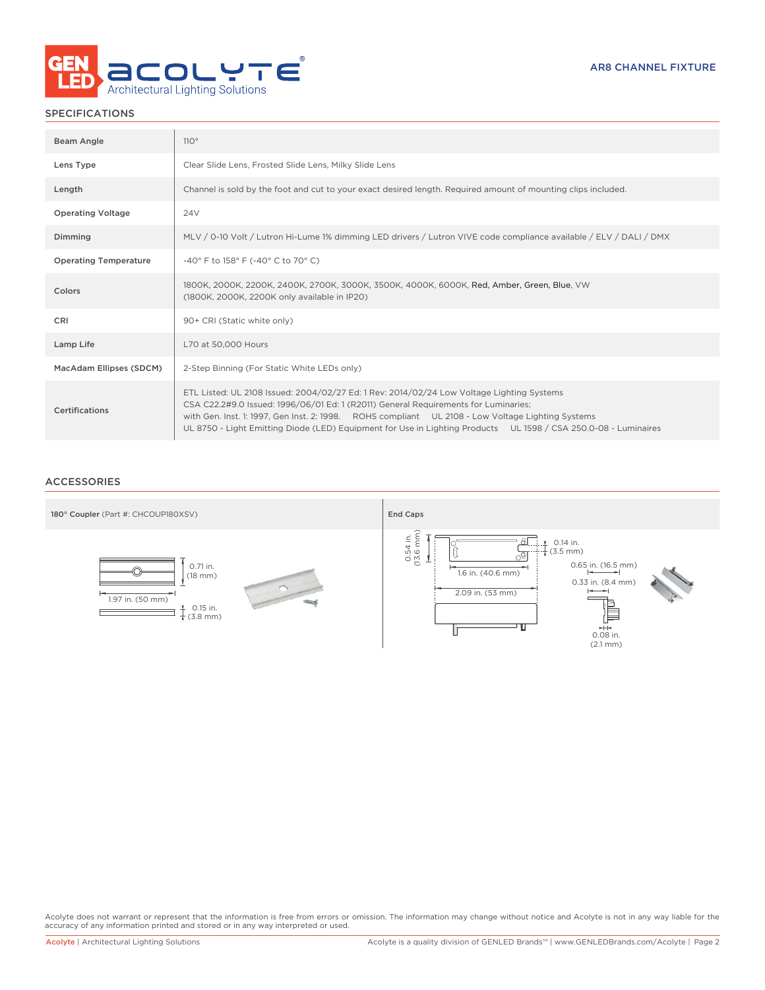

# SPECIFICATIONS

| Beam Angle                   | 110°                                                                                                                                                                                                                                                                                                                                                                                                     |
|------------------------------|----------------------------------------------------------------------------------------------------------------------------------------------------------------------------------------------------------------------------------------------------------------------------------------------------------------------------------------------------------------------------------------------------------|
| Lens Type                    | Clear Slide Lens, Frosted Slide Lens, Milky Slide Lens                                                                                                                                                                                                                                                                                                                                                   |
| Length                       | Channel is sold by the foot and cut to your exact desired length. Required amount of mounting clips included.                                                                                                                                                                                                                                                                                            |
| <b>Operating Voltage</b>     | 24V                                                                                                                                                                                                                                                                                                                                                                                                      |
| Dimming                      | MLV / 0-10 Volt / Lutron Hi-Lume 1% dimming LED drivers / Lutron VIVE code compliance available / ELV / DALI / DMX                                                                                                                                                                                                                                                                                       |
| <b>Operating Temperature</b> | -40° F to 158° F (-40° C to 70° C)                                                                                                                                                                                                                                                                                                                                                                       |
| Colors                       | 1800K, 2000K, 2200K, 2400K, 2700K, 3000K, 3500K, 4000K, 6000K, Red, Amber, Green, Blue, VW<br>(1800K, 2000K, 2200K only available in IP20)                                                                                                                                                                                                                                                               |
| <b>CRI</b>                   | 90+ CRI (Static white only)                                                                                                                                                                                                                                                                                                                                                                              |
| Lamp Life                    | L70 at 50,000 Hours                                                                                                                                                                                                                                                                                                                                                                                      |
| MacAdam Ellipses (SDCM)      | 2-Step Binning (For Static White LEDs only)                                                                                                                                                                                                                                                                                                                                                              |
| Certifications               | ETL Listed: UL 2108 Issued: 2004/02/27 Ed: 1 Rev: 2014/02/24 Low Voltage Lighting Systems<br>CSA C22.2#9.0 Issued: 1996/06/01 Ed: 1 (R2011) General Requirements for Luminaries;<br>with Gen. Inst. 1: 1997, Gen Inst. 2: 1998. ROHS compliant UL 2108 - Low Voltage Lighting Systems<br>UL 8750 - Light Emitting Diode (LED) Equipment for Use in Lighting Products UL 1598 / CSA 250.0-08 - Luminaires |

## ACCESSORIES



Acolyte does not warrant or represent that the information is free from errors or omission. The information may change without notice and Acolyte is not in any way liable for the<br>accuracy of any information printed and sto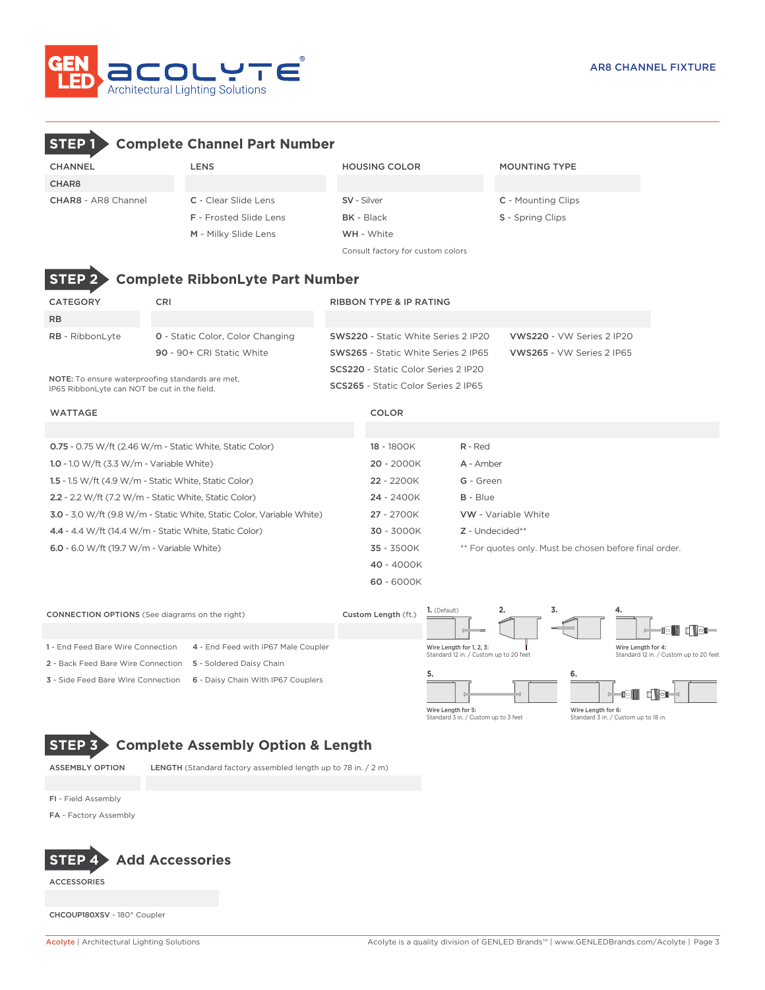

# **STEP 1 Complete Channel Part Number**

| <b>CHANNEL</b>             | <b>LENS</b>                   | <b>HOUSING COLOR</b>              | <b>MOUNTING TYPE</b>      |  |  |  |
|----------------------------|-------------------------------|-----------------------------------|---------------------------|--|--|--|
| CHAR8                      |                               |                                   |                           |  |  |  |
| <b>CHAR8 - AR8 Channel</b> | <b>C</b> - Clear Slide Lens   | <b>SV</b> - Silver                | <b>C</b> - Mounting Clips |  |  |  |
|                            | <b>F</b> - Frosted Slide Lens | <b>BK</b> - Black                 | <b>S</b> - Spring Clips   |  |  |  |
|                            | M - Milky Slide Lens          | <b>WH</b> - White                 |                           |  |  |  |
|                            |                               | Consult factory for custom colors |                           |  |  |  |



# **STEP 2 Complete RibbonLyte Part Number**

| CATEGORY                                                                                                | <b>CRI</b>                              | <b>RIBBON TYPE &amp; IP RATING</b>         |                           |
|---------------------------------------------------------------------------------------------------------|-----------------------------------------|--------------------------------------------|---------------------------|
| <b>RB</b>                                                                                               |                                         |                                            |                           |
| <b>RB</b> - RibbonLyte                                                                                  | <b>0</b> - Static Color, Color Changing | <b>SWS220 - Static White Series 2 IP20</b> | VWS220 - VW Series 2 IP20 |
|                                                                                                         | 90 - 90+ CRI Static White               | <b>SWS265 - Static White Series 2 IP65</b> | VWS265 - VW Series 2 IP65 |
|                                                                                                         |                                         | <b>SCS220</b> - Static Color Series 2 IP20 |                           |
| <b>NOTE:</b> To ensure waterproofing standards are met.<br>IP65 RibbonLyte can NOT be cut in the field. |                                         | <b>SCS265</b> - Static Color Series 2 IP65 |                           |

### WATTAGE COLOR

| <b>0.75</b> - 0.75 W/ft (2.46 W/m - Static White, Static Color)              | 18 - 1800K   | $R - Red$                                              |
|------------------------------------------------------------------------------|--------------|--------------------------------------------------------|
| 1.0 - 1.0 W/ft $(3.3 W/m - Variable White)$                                  | $20 - 2000K$ | A - Amber                                              |
| 1.5 - 1.5 W/ft $(4.9 \text{ W/m}$ - Static White, Static Color)              | 22 - 2200K   | G - Green                                              |
| $2.2 - 2.2$ W/ft (7.2 W/m - Static White, Static Color)                      | $24 - 2400K$ | $B - Blue$                                             |
| <b>3.0</b> - 3.0 W/ft (9.8 W/m - Static White, Static Color, Variable White) | $27 - 2700K$ | <b>VW</b> - Variable White                             |
| $4.4 - 4.4$ W/ft (14.4 W/m - Static White. Static Color)                     | $30 - 3000K$ | Z - Undecided**                                        |
| 6.0 - 6.0 W/ft (19.7 W/m - Variable White)                                   | 35 - 3500K   | ** For quotes only. Must be chosen before final order. |
|                                                                              | 40 - 4000K   |                                                        |
|                                                                              | $60 - 6000K$ |                                                        |



Standard 3 in. / Custom up to 3 feet

Standard 3 in. / Custom up to 18 in.

# **STEP 3 Complete Assembly Option & Length**

ASSEMBLY OPTION LENGTH (Standard factory assembled length up to 78 in. / 2 m)

FI - Field Assembly

FA - Factory Assembly



ACCESSORIES

CHCOUP180XSV - 180° Coupler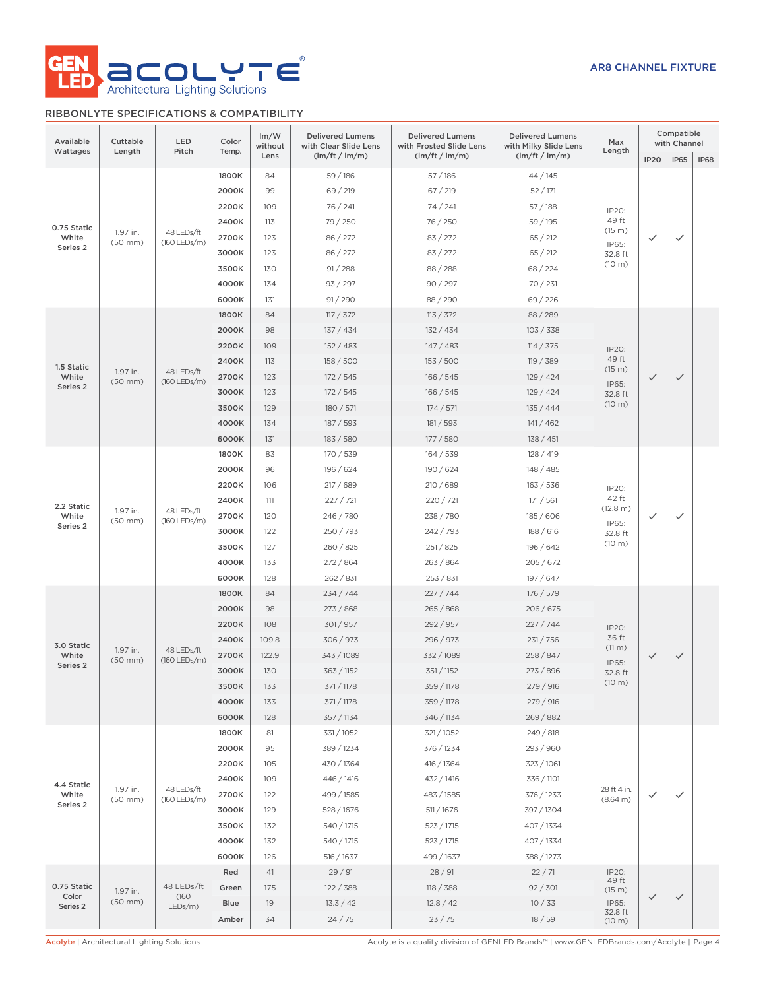

# RIBBONLYTE SPECIFICATIONS & COMPATIBILITY

| (lm/ft / lm/m)<br>(lm/ft / lm/m)<br>(lm/ft / lm/m)<br>Lens<br><b>IP65</b><br><b>IP20</b><br>IP68<br>59 / 186<br>1800K<br>84<br>57/186<br>44 / 145<br>2000K<br>99<br>69 / 219<br>67 / 219<br>52/171<br>2200K<br>109<br>76 / 241<br>74/241<br>57/188<br>IP20:<br>49 ft<br>2400K<br>79 / 250<br>113<br>76 / 250<br>59 / 195<br>0.75 Static<br>(15 m)<br>1.97 in.<br>48 LEDs/ft<br>White<br>2700K<br>86 / 272<br>83 / 272<br>123<br>65 / 212<br>$\checkmark$<br>$\checkmark$<br>$(50$ mm $)$<br>(160 LEDs/m)<br>IP65:<br>Series <sub>2</sub><br>3000K<br>123<br>86 / 272<br>83 / 272<br>65 / 212<br>32.8 ft<br>(10 m)<br>3500K<br>91 / 288<br>130<br>88 / 288<br>68 / 224<br>4000K<br>90 / 297<br>134<br>93 / 297<br>70/231<br>6000K<br>91/290<br>88/290<br>69 / 226<br>131<br>1800K<br>84<br>117 / 372<br>113 / 372<br>88/289<br>2000K<br>98<br>137 / 434<br>132 / 434<br>103 / 338<br>2200K<br>109<br>152/483<br>147/483<br>114 / 375<br>IP20:<br>49 ft<br>2400K<br>113<br>158 / 500<br>153/500<br>119 / 389<br>1.5 Static<br>(15 m)<br>1.97 in.<br>48 LEDs/ft<br>White<br>2700K<br>123<br>172/545<br>166 / 545<br>129 / 424<br>$\checkmark$<br>$\checkmark$<br>$(50$ mm $)$<br>(160 LEDs/m)<br>IP65:<br>Series 2<br>3000K<br>123<br>172/545<br>166 / 545<br>129/424<br>32.8 ft<br>(10 m)<br>3500K<br>129<br>180 / 571<br>174 / 571<br>135 / 444<br>4000K<br>134<br>187 / 593<br>181 / 593<br>141/462<br>6000K<br>131<br>183 / 580<br>177 / 580<br>138 / 451<br>1800K<br>83<br>170 / 539<br>164 / 539<br>128/419<br>2000K<br>96<br>196 / 624<br>190 / 624<br>148 / 485<br>2200K<br>106<br>217/689<br>210/689<br>163 / 536<br>IP20:<br>42 ft<br>2400K<br>227 / 721<br>111<br>220 / 721<br>171 / 561<br>2.2 Static<br>(12.8 m)<br>48 LEDs/ft<br>1.97 in.<br>2700K<br>246 / 780<br>238 / 780<br>White<br>120<br>185/606<br>$\checkmark$<br>$\checkmark$<br>$(50$ mm $)$<br>(160 LEDs/m)<br>IP65:<br>Series 2<br>3000K<br>122<br>250 / 793<br>242 / 793<br>188 / 616<br>32.8 ft<br>(10 m)<br>3500K<br>260 / 825<br>127<br>251 / 825<br>196 / 642<br>4000K<br>133<br>272 / 864<br>263/864<br>205/672<br>6000K<br>128<br>262 / 831<br>253 / 831<br>197 / 647<br>1800K<br>84<br>234/744<br>227/744<br>176 / 579<br>98<br>2000K<br>273/868<br>265/868<br>206/675<br>2200K<br>108<br>301/957<br>292 / 957<br>227 / 744<br>IP20:<br>36 ft<br>2400K<br>109.8<br>306/973<br>296 / 973<br>231/756<br>3.0 Static<br>(11 m)<br>1.97 in.<br>48 LEDs/ft<br>White<br>2700K<br>122.9<br>343 / 1089<br>332 / 1089<br>258 / 847<br>$\checkmark$<br>$\checkmark$<br>$(50$ mm $)$<br>(160 LEDs/m)<br>IP65:<br>Series 2<br>3000K<br>130<br>363 / 1152<br>351 / 1152<br>273 / 896<br>32.8 ft<br>(10 m)<br>3500K<br>133<br>371 / 1178<br>359 / 1178<br>279 / 916<br>4000K<br>371 / 1178<br>359 / 1178<br>279 / 916<br>133<br>6000K<br>357 / 1134<br>346 / 1134<br>269 / 882<br>128<br>1800K<br>81<br>331 / 1052<br>321/1052<br>249 / 818<br>2000K<br>95<br>389 / 1234<br>376 / 1234<br>293 / 960<br>2200K<br>105<br>430 / 1364<br>416 / 1364<br>323 / 1061<br>2400K<br>109<br>446 / 1416<br>432 / 1416<br>336 / 1101<br>4.4 Static<br>1.97 in.<br>48 LEDs/ft<br>28 ft 4 in.<br>2700K<br>White<br>499 / 1585<br>483 / 1585<br>376 / 1233<br>122<br>$\checkmark$<br>$\checkmark$<br>$(50$ mm $)$<br>(160 LEDs/m)<br>(8.64 m)<br>Series 2<br>3000K<br>129<br>528 / 1676<br>511 / 1676<br>397 / 1304<br>3500K<br>132<br>540 / 1715<br>523 / 1715<br>407 / 1334<br>4000K<br>132<br>540 / 1715<br>523 / 1715<br>407 / 1334<br>6000K<br>388 / 1273<br>126<br>516 / 1637<br>499 / 1637<br>29/91<br>28/91<br>22/71<br>IP20:<br>Red<br>41<br>49 ft<br>0.75 Static<br>48 LEDs/ft<br>175<br>122 / 388<br>118 / 388<br>92 / 301<br>Green<br>(15 m)<br>1.97 in.<br>Color<br>(160)<br>$\checkmark$<br>$\checkmark$<br>(50 mm)<br>19<br>13.3 / 42<br>12.8 / 42<br>10/33<br><b>Blue</b><br>IP65:<br>Series <sub>2</sub><br>$LEDs/m$ )<br>32.8 ft<br>23/75<br>24/75<br>18/59<br>Amber<br>34<br>(10 m) | Available<br>Wattages | Cuttable<br>Length | LED<br>Pitch | Color<br>Temp. | Im/W<br>without | <b>Delivered Lumens</b><br>with Clear Slide Lens | <b>Delivered Lumens</b><br>with Frosted Slide Lens | <b>Delivered Lumens</b><br>with Milky Slide Lens | Max<br>Length |  | Compatible<br>with Channel |  |
|---------------------------------------------------------------------------------------------------------------------------------------------------------------------------------------------------------------------------------------------------------------------------------------------------------------------------------------------------------------------------------------------------------------------------------------------------------------------------------------------------------------------------------------------------------------------------------------------------------------------------------------------------------------------------------------------------------------------------------------------------------------------------------------------------------------------------------------------------------------------------------------------------------------------------------------------------------------------------------------------------------------------------------------------------------------------------------------------------------------------------------------------------------------------------------------------------------------------------------------------------------------------------------------------------------------------------------------------------------------------------------------------------------------------------------------------------------------------------------------------------------------------------------------------------------------------------------------------------------------------------------------------------------------------------------------------------------------------------------------------------------------------------------------------------------------------------------------------------------------------------------------------------------------------------------------------------------------------------------------------------------------------------------------------------------------------------------------------------------------------------------------------------------------------------------------------------------------------------------------------------------------------------------------------------------------------------------------------------------------------------------------------------------------------------------------------------------------------------------------------------------------------------------------------------------------------------------------------------------------------------------------------------------------------------------------------------------------------------------------------------------------------------------------------------------------------------------------------------------------------------------------------------------------------------------------------------------------------------------------------------------------------------------------------------------------------------------------------------------------------------------------------------------------------------------------------------------------------------------------------------------------------------------------------------------------------------------------------------------------------------------------------------------------------------------------------------------------------------------------------------------------------------------------------------------------------------------------------------------------------------------------------------------------------------------------------------------------------------------------------------------------------------------------------------------------------------------------------------------------------------------------------------------------------------------------------------------|-----------------------|--------------------|--------------|----------------|-----------------|--------------------------------------------------|----------------------------------------------------|--------------------------------------------------|---------------|--|----------------------------|--|
|                                                                                                                                                                                                                                                                                                                                                                                                                                                                                                                                                                                                                                                                                                                                                                                                                                                                                                                                                                                                                                                                                                                                                                                                                                                                                                                                                                                                                                                                                                                                                                                                                                                                                                                                                                                                                                                                                                                                                                                                                                                                                                                                                                                                                                                                                                                                                                                                                                                                                                                                                                                                                                                                                                                                                                                                                                                                                                                                                                                                                                                                                                                                                                                                                                                                                                                                                                                                                                                                                                                                                                                                                                                                                                                                                                                                                                                                                                                                                         |                       |                    |              |                |                 |                                                  |                                                    |                                                  |               |  |                            |  |
|                                                                                                                                                                                                                                                                                                                                                                                                                                                                                                                                                                                                                                                                                                                                                                                                                                                                                                                                                                                                                                                                                                                                                                                                                                                                                                                                                                                                                                                                                                                                                                                                                                                                                                                                                                                                                                                                                                                                                                                                                                                                                                                                                                                                                                                                                                                                                                                                                                                                                                                                                                                                                                                                                                                                                                                                                                                                                                                                                                                                                                                                                                                                                                                                                                                                                                                                                                                                                                                                                                                                                                                                                                                                                                                                                                                                                                                                                                                                                         |                       |                    |              |                |                 |                                                  |                                                    |                                                  |               |  |                            |  |
|                                                                                                                                                                                                                                                                                                                                                                                                                                                                                                                                                                                                                                                                                                                                                                                                                                                                                                                                                                                                                                                                                                                                                                                                                                                                                                                                                                                                                                                                                                                                                                                                                                                                                                                                                                                                                                                                                                                                                                                                                                                                                                                                                                                                                                                                                                                                                                                                                                                                                                                                                                                                                                                                                                                                                                                                                                                                                                                                                                                                                                                                                                                                                                                                                                                                                                                                                                                                                                                                                                                                                                                                                                                                                                                                                                                                                                                                                                                                                         |                       |                    |              |                |                 |                                                  |                                                    |                                                  |               |  |                            |  |
|                                                                                                                                                                                                                                                                                                                                                                                                                                                                                                                                                                                                                                                                                                                                                                                                                                                                                                                                                                                                                                                                                                                                                                                                                                                                                                                                                                                                                                                                                                                                                                                                                                                                                                                                                                                                                                                                                                                                                                                                                                                                                                                                                                                                                                                                                                                                                                                                                                                                                                                                                                                                                                                                                                                                                                                                                                                                                                                                                                                                                                                                                                                                                                                                                                                                                                                                                                                                                                                                                                                                                                                                                                                                                                                                                                                                                                                                                                                                                         |                       |                    |              |                |                 |                                                  |                                                    |                                                  |               |  |                            |  |
|                                                                                                                                                                                                                                                                                                                                                                                                                                                                                                                                                                                                                                                                                                                                                                                                                                                                                                                                                                                                                                                                                                                                                                                                                                                                                                                                                                                                                                                                                                                                                                                                                                                                                                                                                                                                                                                                                                                                                                                                                                                                                                                                                                                                                                                                                                                                                                                                                                                                                                                                                                                                                                                                                                                                                                                                                                                                                                                                                                                                                                                                                                                                                                                                                                                                                                                                                                                                                                                                                                                                                                                                                                                                                                                                                                                                                                                                                                                                                         |                       |                    |              |                |                 |                                                  |                                                    |                                                  |               |  |                            |  |
|                                                                                                                                                                                                                                                                                                                                                                                                                                                                                                                                                                                                                                                                                                                                                                                                                                                                                                                                                                                                                                                                                                                                                                                                                                                                                                                                                                                                                                                                                                                                                                                                                                                                                                                                                                                                                                                                                                                                                                                                                                                                                                                                                                                                                                                                                                                                                                                                                                                                                                                                                                                                                                                                                                                                                                                                                                                                                                                                                                                                                                                                                                                                                                                                                                                                                                                                                                                                                                                                                                                                                                                                                                                                                                                                                                                                                                                                                                                                                         |                       |                    |              |                |                 |                                                  |                                                    |                                                  |               |  |                            |  |
|                                                                                                                                                                                                                                                                                                                                                                                                                                                                                                                                                                                                                                                                                                                                                                                                                                                                                                                                                                                                                                                                                                                                                                                                                                                                                                                                                                                                                                                                                                                                                                                                                                                                                                                                                                                                                                                                                                                                                                                                                                                                                                                                                                                                                                                                                                                                                                                                                                                                                                                                                                                                                                                                                                                                                                                                                                                                                                                                                                                                                                                                                                                                                                                                                                                                                                                                                                                                                                                                                                                                                                                                                                                                                                                                                                                                                                                                                                                                                         |                       |                    |              |                |                 |                                                  |                                                    |                                                  |               |  |                            |  |
|                                                                                                                                                                                                                                                                                                                                                                                                                                                                                                                                                                                                                                                                                                                                                                                                                                                                                                                                                                                                                                                                                                                                                                                                                                                                                                                                                                                                                                                                                                                                                                                                                                                                                                                                                                                                                                                                                                                                                                                                                                                                                                                                                                                                                                                                                                                                                                                                                                                                                                                                                                                                                                                                                                                                                                                                                                                                                                                                                                                                                                                                                                                                                                                                                                                                                                                                                                                                                                                                                                                                                                                                                                                                                                                                                                                                                                                                                                                                                         |                       |                    |              |                |                 |                                                  |                                                    |                                                  |               |  |                            |  |
|                                                                                                                                                                                                                                                                                                                                                                                                                                                                                                                                                                                                                                                                                                                                                                                                                                                                                                                                                                                                                                                                                                                                                                                                                                                                                                                                                                                                                                                                                                                                                                                                                                                                                                                                                                                                                                                                                                                                                                                                                                                                                                                                                                                                                                                                                                                                                                                                                                                                                                                                                                                                                                                                                                                                                                                                                                                                                                                                                                                                                                                                                                                                                                                                                                                                                                                                                                                                                                                                                                                                                                                                                                                                                                                                                                                                                                                                                                                                                         |                       |                    |              |                |                 |                                                  |                                                    |                                                  |               |  |                            |  |
|                                                                                                                                                                                                                                                                                                                                                                                                                                                                                                                                                                                                                                                                                                                                                                                                                                                                                                                                                                                                                                                                                                                                                                                                                                                                                                                                                                                                                                                                                                                                                                                                                                                                                                                                                                                                                                                                                                                                                                                                                                                                                                                                                                                                                                                                                                                                                                                                                                                                                                                                                                                                                                                                                                                                                                                                                                                                                                                                                                                                                                                                                                                                                                                                                                                                                                                                                                                                                                                                                                                                                                                                                                                                                                                                                                                                                                                                                                                                                         |                       |                    |              |                |                 |                                                  |                                                    |                                                  |               |  |                            |  |
|                                                                                                                                                                                                                                                                                                                                                                                                                                                                                                                                                                                                                                                                                                                                                                                                                                                                                                                                                                                                                                                                                                                                                                                                                                                                                                                                                                                                                                                                                                                                                                                                                                                                                                                                                                                                                                                                                                                                                                                                                                                                                                                                                                                                                                                                                                                                                                                                                                                                                                                                                                                                                                                                                                                                                                                                                                                                                                                                                                                                                                                                                                                                                                                                                                                                                                                                                                                                                                                                                                                                                                                                                                                                                                                                                                                                                                                                                                                                                         |                       |                    |              |                |                 |                                                  |                                                    |                                                  |               |  |                            |  |
|                                                                                                                                                                                                                                                                                                                                                                                                                                                                                                                                                                                                                                                                                                                                                                                                                                                                                                                                                                                                                                                                                                                                                                                                                                                                                                                                                                                                                                                                                                                                                                                                                                                                                                                                                                                                                                                                                                                                                                                                                                                                                                                                                                                                                                                                                                                                                                                                                                                                                                                                                                                                                                                                                                                                                                                                                                                                                                                                                                                                                                                                                                                                                                                                                                                                                                                                                                                                                                                                                                                                                                                                                                                                                                                                                                                                                                                                                                                                                         |                       |                    |              |                |                 |                                                  |                                                    |                                                  |               |  |                            |  |
|                                                                                                                                                                                                                                                                                                                                                                                                                                                                                                                                                                                                                                                                                                                                                                                                                                                                                                                                                                                                                                                                                                                                                                                                                                                                                                                                                                                                                                                                                                                                                                                                                                                                                                                                                                                                                                                                                                                                                                                                                                                                                                                                                                                                                                                                                                                                                                                                                                                                                                                                                                                                                                                                                                                                                                                                                                                                                                                                                                                                                                                                                                                                                                                                                                                                                                                                                                                                                                                                                                                                                                                                                                                                                                                                                                                                                                                                                                                                                         |                       |                    |              |                |                 |                                                  |                                                    |                                                  |               |  |                            |  |
|                                                                                                                                                                                                                                                                                                                                                                                                                                                                                                                                                                                                                                                                                                                                                                                                                                                                                                                                                                                                                                                                                                                                                                                                                                                                                                                                                                                                                                                                                                                                                                                                                                                                                                                                                                                                                                                                                                                                                                                                                                                                                                                                                                                                                                                                                                                                                                                                                                                                                                                                                                                                                                                                                                                                                                                                                                                                                                                                                                                                                                                                                                                                                                                                                                                                                                                                                                                                                                                                                                                                                                                                                                                                                                                                                                                                                                                                                                                                                         |                       |                    |              |                |                 |                                                  |                                                    |                                                  |               |  |                            |  |
|                                                                                                                                                                                                                                                                                                                                                                                                                                                                                                                                                                                                                                                                                                                                                                                                                                                                                                                                                                                                                                                                                                                                                                                                                                                                                                                                                                                                                                                                                                                                                                                                                                                                                                                                                                                                                                                                                                                                                                                                                                                                                                                                                                                                                                                                                                                                                                                                                                                                                                                                                                                                                                                                                                                                                                                                                                                                                                                                                                                                                                                                                                                                                                                                                                                                                                                                                                                                                                                                                                                                                                                                                                                                                                                                                                                                                                                                                                                                                         |                       |                    |              |                |                 |                                                  |                                                    |                                                  |               |  |                            |  |
|                                                                                                                                                                                                                                                                                                                                                                                                                                                                                                                                                                                                                                                                                                                                                                                                                                                                                                                                                                                                                                                                                                                                                                                                                                                                                                                                                                                                                                                                                                                                                                                                                                                                                                                                                                                                                                                                                                                                                                                                                                                                                                                                                                                                                                                                                                                                                                                                                                                                                                                                                                                                                                                                                                                                                                                                                                                                                                                                                                                                                                                                                                                                                                                                                                                                                                                                                                                                                                                                                                                                                                                                                                                                                                                                                                                                                                                                                                                                                         |                       |                    |              |                |                 |                                                  |                                                    |                                                  |               |  |                            |  |
|                                                                                                                                                                                                                                                                                                                                                                                                                                                                                                                                                                                                                                                                                                                                                                                                                                                                                                                                                                                                                                                                                                                                                                                                                                                                                                                                                                                                                                                                                                                                                                                                                                                                                                                                                                                                                                                                                                                                                                                                                                                                                                                                                                                                                                                                                                                                                                                                                                                                                                                                                                                                                                                                                                                                                                                                                                                                                                                                                                                                                                                                                                                                                                                                                                                                                                                                                                                                                                                                                                                                                                                                                                                                                                                                                                                                                                                                                                                                                         |                       |                    |              |                |                 |                                                  |                                                    |                                                  |               |  |                            |  |
|                                                                                                                                                                                                                                                                                                                                                                                                                                                                                                                                                                                                                                                                                                                                                                                                                                                                                                                                                                                                                                                                                                                                                                                                                                                                                                                                                                                                                                                                                                                                                                                                                                                                                                                                                                                                                                                                                                                                                                                                                                                                                                                                                                                                                                                                                                                                                                                                                                                                                                                                                                                                                                                                                                                                                                                                                                                                                                                                                                                                                                                                                                                                                                                                                                                                                                                                                                                                                                                                                                                                                                                                                                                                                                                                                                                                                                                                                                                                                         |                       |                    |              |                |                 |                                                  |                                                    |                                                  |               |  |                            |  |
|                                                                                                                                                                                                                                                                                                                                                                                                                                                                                                                                                                                                                                                                                                                                                                                                                                                                                                                                                                                                                                                                                                                                                                                                                                                                                                                                                                                                                                                                                                                                                                                                                                                                                                                                                                                                                                                                                                                                                                                                                                                                                                                                                                                                                                                                                                                                                                                                                                                                                                                                                                                                                                                                                                                                                                                                                                                                                                                                                                                                                                                                                                                                                                                                                                                                                                                                                                                                                                                                                                                                                                                                                                                                                                                                                                                                                                                                                                                                                         |                       |                    |              |                |                 |                                                  |                                                    |                                                  |               |  |                            |  |
|                                                                                                                                                                                                                                                                                                                                                                                                                                                                                                                                                                                                                                                                                                                                                                                                                                                                                                                                                                                                                                                                                                                                                                                                                                                                                                                                                                                                                                                                                                                                                                                                                                                                                                                                                                                                                                                                                                                                                                                                                                                                                                                                                                                                                                                                                                                                                                                                                                                                                                                                                                                                                                                                                                                                                                                                                                                                                                                                                                                                                                                                                                                                                                                                                                                                                                                                                                                                                                                                                                                                                                                                                                                                                                                                                                                                                                                                                                                                                         |                       |                    |              |                |                 |                                                  |                                                    |                                                  |               |  |                            |  |
|                                                                                                                                                                                                                                                                                                                                                                                                                                                                                                                                                                                                                                                                                                                                                                                                                                                                                                                                                                                                                                                                                                                                                                                                                                                                                                                                                                                                                                                                                                                                                                                                                                                                                                                                                                                                                                                                                                                                                                                                                                                                                                                                                                                                                                                                                                                                                                                                                                                                                                                                                                                                                                                                                                                                                                                                                                                                                                                                                                                                                                                                                                                                                                                                                                                                                                                                                                                                                                                                                                                                                                                                                                                                                                                                                                                                                                                                                                                                                         |                       |                    |              |                |                 |                                                  |                                                    |                                                  |               |  |                            |  |
|                                                                                                                                                                                                                                                                                                                                                                                                                                                                                                                                                                                                                                                                                                                                                                                                                                                                                                                                                                                                                                                                                                                                                                                                                                                                                                                                                                                                                                                                                                                                                                                                                                                                                                                                                                                                                                                                                                                                                                                                                                                                                                                                                                                                                                                                                                                                                                                                                                                                                                                                                                                                                                                                                                                                                                                                                                                                                                                                                                                                                                                                                                                                                                                                                                                                                                                                                                                                                                                                                                                                                                                                                                                                                                                                                                                                                                                                                                                                                         |                       |                    |              |                |                 |                                                  |                                                    |                                                  |               |  |                            |  |
|                                                                                                                                                                                                                                                                                                                                                                                                                                                                                                                                                                                                                                                                                                                                                                                                                                                                                                                                                                                                                                                                                                                                                                                                                                                                                                                                                                                                                                                                                                                                                                                                                                                                                                                                                                                                                                                                                                                                                                                                                                                                                                                                                                                                                                                                                                                                                                                                                                                                                                                                                                                                                                                                                                                                                                                                                                                                                                                                                                                                                                                                                                                                                                                                                                                                                                                                                                                                                                                                                                                                                                                                                                                                                                                                                                                                                                                                                                                                                         |                       |                    |              |                |                 |                                                  |                                                    |                                                  |               |  |                            |  |
|                                                                                                                                                                                                                                                                                                                                                                                                                                                                                                                                                                                                                                                                                                                                                                                                                                                                                                                                                                                                                                                                                                                                                                                                                                                                                                                                                                                                                                                                                                                                                                                                                                                                                                                                                                                                                                                                                                                                                                                                                                                                                                                                                                                                                                                                                                                                                                                                                                                                                                                                                                                                                                                                                                                                                                                                                                                                                                                                                                                                                                                                                                                                                                                                                                                                                                                                                                                                                                                                                                                                                                                                                                                                                                                                                                                                                                                                                                                                                         |                       |                    |              |                |                 |                                                  |                                                    |                                                  |               |  |                            |  |
|                                                                                                                                                                                                                                                                                                                                                                                                                                                                                                                                                                                                                                                                                                                                                                                                                                                                                                                                                                                                                                                                                                                                                                                                                                                                                                                                                                                                                                                                                                                                                                                                                                                                                                                                                                                                                                                                                                                                                                                                                                                                                                                                                                                                                                                                                                                                                                                                                                                                                                                                                                                                                                                                                                                                                                                                                                                                                                                                                                                                                                                                                                                                                                                                                                                                                                                                                                                                                                                                                                                                                                                                                                                                                                                                                                                                                                                                                                                                                         |                       |                    |              |                |                 |                                                  |                                                    |                                                  |               |  |                            |  |
|                                                                                                                                                                                                                                                                                                                                                                                                                                                                                                                                                                                                                                                                                                                                                                                                                                                                                                                                                                                                                                                                                                                                                                                                                                                                                                                                                                                                                                                                                                                                                                                                                                                                                                                                                                                                                                                                                                                                                                                                                                                                                                                                                                                                                                                                                                                                                                                                                                                                                                                                                                                                                                                                                                                                                                                                                                                                                                                                                                                                                                                                                                                                                                                                                                                                                                                                                                                                                                                                                                                                                                                                                                                                                                                                                                                                                                                                                                                                                         |                       |                    |              |                |                 |                                                  |                                                    |                                                  |               |  |                            |  |
|                                                                                                                                                                                                                                                                                                                                                                                                                                                                                                                                                                                                                                                                                                                                                                                                                                                                                                                                                                                                                                                                                                                                                                                                                                                                                                                                                                                                                                                                                                                                                                                                                                                                                                                                                                                                                                                                                                                                                                                                                                                                                                                                                                                                                                                                                                                                                                                                                                                                                                                                                                                                                                                                                                                                                                                                                                                                                                                                                                                                                                                                                                                                                                                                                                                                                                                                                                                                                                                                                                                                                                                                                                                                                                                                                                                                                                                                                                                                                         |                       |                    |              |                |                 |                                                  |                                                    |                                                  |               |  |                            |  |
|                                                                                                                                                                                                                                                                                                                                                                                                                                                                                                                                                                                                                                                                                                                                                                                                                                                                                                                                                                                                                                                                                                                                                                                                                                                                                                                                                                                                                                                                                                                                                                                                                                                                                                                                                                                                                                                                                                                                                                                                                                                                                                                                                                                                                                                                                                                                                                                                                                                                                                                                                                                                                                                                                                                                                                                                                                                                                                                                                                                                                                                                                                                                                                                                                                                                                                                                                                                                                                                                                                                                                                                                                                                                                                                                                                                                                                                                                                                                                         |                       |                    |              |                |                 |                                                  |                                                    |                                                  |               |  |                            |  |
|                                                                                                                                                                                                                                                                                                                                                                                                                                                                                                                                                                                                                                                                                                                                                                                                                                                                                                                                                                                                                                                                                                                                                                                                                                                                                                                                                                                                                                                                                                                                                                                                                                                                                                                                                                                                                                                                                                                                                                                                                                                                                                                                                                                                                                                                                                                                                                                                                                                                                                                                                                                                                                                                                                                                                                                                                                                                                                                                                                                                                                                                                                                                                                                                                                                                                                                                                                                                                                                                                                                                                                                                                                                                                                                                                                                                                                                                                                                                                         |                       |                    |              |                |                 |                                                  |                                                    |                                                  |               |  |                            |  |
|                                                                                                                                                                                                                                                                                                                                                                                                                                                                                                                                                                                                                                                                                                                                                                                                                                                                                                                                                                                                                                                                                                                                                                                                                                                                                                                                                                                                                                                                                                                                                                                                                                                                                                                                                                                                                                                                                                                                                                                                                                                                                                                                                                                                                                                                                                                                                                                                                                                                                                                                                                                                                                                                                                                                                                                                                                                                                                                                                                                                                                                                                                                                                                                                                                                                                                                                                                                                                                                                                                                                                                                                                                                                                                                                                                                                                                                                                                                                                         |                       |                    |              |                |                 |                                                  |                                                    |                                                  |               |  |                            |  |
|                                                                                                                                                                                                                                                                                                                                                                                                                                                                                                                                                                                                                                                                                                                                                                                                                                                                                                                                                                                                                                                                                                                                                                                                                                                                                                                                                                                                                                                                                                                                                                                                                                                                                                                                                                                                                                                                                                                                                                                                                                                                                                                                                                                                                                                                                                                                                                                                                                                                                                                                                                                                                                                                                                                                                                                                                                                                                                                                                                                                                                                                                                                                                                                                                                                                                                                                                                                                                                                                                                                                                                                                                                                                                                                                                                                                                                                                                                                                                         |                       |                    |              |                |                 |                                                  |                                                    |                                                  |               |  |                            |  |
|                                                                                                                                                                                                                                                                                                                                                                                                                                                                                                                                                                                                                                                                                                                                                                                                                                                                                                                                                                                                                                                                                                                                                                                                                                                                                                                                                                                                                                                                                                                                                                                                                                                                                                                                                                                                                                                                                                                                                                                                                                                                                                                                                                                                                                                                                                                                                                                                                                                                                                                                                                                                                                                                                                                                                                                                                                                                                                                                                                                                                                                                                                                                                                                                                                                                                                                                                                                                                                                                                                                                                                                                                                                                                                                                                                                                                                                                                                                                                         |                       |                    |              |                |                 |                                                  |                                                    |                                                  |               |  |                            |  |
|                                                                                                                                                                                                                                                                                                                                                                                                                                                                                                                                                                                                                                                                                                                                                                                                                                                                                                                                                                                                                                                                                                                                                                                                                                                                                                                                                                                                                                                                                                                                                                                                                                                                                                                                                                                                                                                                                                                                                                                                                                                                                                                                                                                                                                                                                                                                                                                                                                                                                                                                                                                                                                                                                                                                                                                                                                                                                                                                                                                                                                                                                                                                                                                                                                                                                                                                                                                                                                                                                                                                                                                                                                                                                                                                                                                                                                                                                                                                                         |                       |                    |              |                |                 |                                                  |                                                    |                                                  |               |  |                            |  |
|                                                                                                                                                                                                                                                                                                                                                                                                                                                                                                                                                                                                                                                                                                                                                                                                                                                                                                                                                                                                                                                                                                                                                                                                                                                                                                                                                                                                                                                                                                                                                                                                                                                                                                                                                                                                                                                                                                                                                                                                                                                                                                                                                                                                                                                                                                                                                                                                                                                                                                                                                                                                                                                                                                                                                                                                                                                                                                                                                                                                                                                                                                                                                                                                                                                                                                                                                                                                                                                                                                                                                                                                                                                                                                                                                                                                                                                                                                                                                         |                       |                    |              |                |                 |                                                  |                                                    |                                                  |               |  |                            |  |
|                                                                                                                                                                                                                                                                                                                                                                                                                                                                                                                                                                                                                                                                                                                                                                                                                                                                                                                                                                                                                                                                                                                                                                                                                                                                                                                                                                                                                                                                                                                                                                                                                                                                                                                                                                                                                                                                                                                                                                                                                                                                                                                                                                                                                                                                                                                                                                                                                                                                                                                                                                                                                                                                                                                                                                                                                                                                                                                                                                                                                                                                                                                                                                                                                                                                                                                                                                                                                                                                                                                                                                                                                                                                                                                                                                                                                                                                                                                                                         |                       |                    |              |                |                 |                                                  |                                                    |                                                  |               |  |                            |  |
|                                                                                                                                                                                                                                                                                                                                                                                                                                                                                                                                                                                                                                                                                                                                                                                                                                                                                                                                                                                                                                                                                                                                                                                                                                                                                                                                                                                                                                                                                                                                                                                                                                                                                                                                                                                                                                                                                                                                                                                                                                                                                                                                                                                                                                                                                                                                                                                                                                                                                                                                                                                                                                                                                                                                                                                                                                                                                                                                                                                                                                                                                                                                                                                                                                                                                                                                                                                                                                                                                                                                                                                                                                                                                                                                                                                                                                                                                                                                                         |                       |                    |              |                |                 |                                                  |                                                    |                                                  |               |  |                            |  |
|                                                                                                                                                                                                                                                                                                                                                                                                                                                                                                                                                                                                                                                                                                                                                                                                                                                                                                                                                                                                                                                                                                                                                                                                                                                                                                                                                                                                                                                                                                                                                                                                                                                                                                                                                                                                                                                                                                                                                                                                                                                                                                                                                                                                                                                                                                                                                                                                                                                                                                                                                                                                                                                                                                                                                                                                                                                                                                                                                                                                                                                                                                                                                                                                                                                                                                                                                                                                                                                                                                                                                                                                                                                                                                                                                                                                                                                                                                                                                         |                       |                    |              |                |                 |                                                  |                                                    |                                                  |               |  |                            |  |
|                                                                                                                                                                                                                                                                                                                                                                                                                                                                                                                                                                                                                                                                                                                                                                                                                                                                                                                                                                                                                                                                                                                                                                                                                                                                                                                                                                                                                                                                                                                                                                                                                                                                                                                                                                                                                                                                                                                                                                                                                                                                                                                                                                                                                                                                                                                                                                                                                                                                                                                                                                                                                                                                                                                                                                                                                                                                                                                                                                                                                                                                                                                                                                                                                                                                                                                                                                                                                                                                                                                                                                                                                                                                                                                                                                                                                                                                                                                                                         |                       |                    |              |                |                 |                                                  |                                                    |                                                  |               |  |                            |  |
|                                                                                                                                                                                                                                                                                                                                                                                                                                                                                                                                                                                                                                                                                                                                                                                                                                                                                                                                                                                                                                                                                                                                                                                                                                                                                                                                                                                                                                                                                                                                                                                                                                                                                                                                                                                                                                                                                                                                                                                                                                                                                                                                                                                                                                                                                                                                                                                                                                                                                                                                                                                                                                                                                                                                                                                                                                                                                                                                                                                                                                                                                                                                                                                                                                                                                                                                                                                                                                                                                                                                                                                                                                                                                                                                                                                                                                                                                                                                                         |                       |                    |              |                |                 |                                                  |                                                    |                                                  |               |  |                            |  |
|                                                                                                                                                                                                                                                                                                                                                                                                                                                                                                                                                                                                                                                                                                                                                                                                                                                                                                                                                                                                                                                                                                                                                                                                                                                                                                                                                                                                                                                                                                                                                                                                                                                                                                                                                                                                                                                                                                                                                                                                                                                                                                                                                                                                                                                                                                                                                                                                                                                                                                                                                                                                                                                                                                                                                                                                                                                                                                                                                                                                                                                                                                                                                                                                                                                                                                                                                                                                                                                                                                                                                                                                                                                                                                                                                                                                                                                                                                                                                         |                       |                    |              |                |                 |                                                  |                                                    |                                                  |               |  |                            |  |
|                                                                                                                                                                                                                                                                                                                                                                                                                                                                                                                                                                                                                                                                                                                                                                                                                                                                                                                                                                                                                                                                                                                                                                                                                                                                                                                                                                                                                                                                                                                                                                                                                                                                                                                                                                                                                                                                                                                                                                                                                                                                                                                                                                                                                                                                                                                                                                                                                                                                                                                                                                                                                                                                                                                                                                                                                                                                                                                                                                                                                                                                                                                                                                                                                                                                                                                                                                                                                                                                                                                                                                                                                                                                                                                                                                                                                                                                                                                                                         |                       |                    |              |                |                 |                                                  |                                                    |                                                  |               |  |                            |  |
|                                                                                                                                                                                                                                                                                                                                                                                                                                                                                                                                                                                                                                                                                                                                                                                                                                                                                                                                                                                                                                                                                                                                                                                                                                                                                                                                                                                                                                                                                                                                                                                                                                                                                                                                                                                                                                                                                                                                                                                                                                                                                                                                                                                                                                                                                                                                                                                                                                                                                                                                                                                                                                                                                                                                                                                                                                                                                                                                                                                                                                                                                                                                                                                                                                                                                                                                                                                                                                                                                                                                                                                                                                                                                                                                                                                                                                                                                                                                                         |                       |                    |              |                |                 |                                                  |                                                    |                                                  |               |  |                            |  |
|                                                                                                                                                                                                                                                                                                                                                                                                                                                                                                                                                                                                                                                                                                                                                                                                                                                                                                                                                                                                                                                                                                                                                                                                                                                                                                                                                                                                                                                                                                                                                                                                                                                                                                                                                                                                                                                                                                                                                                                                                                                                                                                                                                                                                                                                                                                                                                                                                                                                                                                                                                                                                                                                                                                                                                                                                                                                                                                                                                                                                                                                                                                                                                                                                                                                                                                                                                                                                                                                                                                                                                                                                                                                                                                                                                                                                                                                                                                                                         |                       |                    |              |                |                 |                                                  |                                                    |                                                  |               |  |                            |  |
|                                                                                                                                                                                                                                                                                                                                                                                                                                                                                                                                                                                                                                                                                                                                                                                                                                                                                                                                                                                                                                                                                                                                                                                                                                                                                                                                                                                                                                                                                                                                                                                                                                                                                                                                                                                                                                                                                                                                                                                                                                                                                                                                                                                                                                                                                                                                                                                                                                                                                                                                                                                                                                                                                                                                                                                                                                                                                                                                                                                                                                                                                                                                                                                                                                                                                                                                                                                                                                                                                                                                                                                                                                                                                                                                                                                                                                                                                                                                                         |                       |                    |              |                |                 |                                                  |                                                    |                                                  |               |  |                            |  |
|                                                                                                                                                                                                                                                                                                                                                                                                                                                                                                                                                                                                                                                                                                                                                                                                                                                                                                                                                                                                                                                                                                                                                                                                                                                                                                                                                                                                                                                                                                                                                                                                                                                                                                                                                                                                                                                                                                                                                                                                                                                                                                                                                                                                                                                                                                                                                                                                                                                                                                                                                                                                                                                                                                                                                                                                                                                                                                                                                                                                                                                                                                                                                                                                                                                                                                                                                                                                                                                                                                                                                                                                                                                                                                                                                                                                                                                                                                                                                         |                       |                    |              |                |                 |                                                  |                                                    |                                                  |               |  |                            |  |
|                                                                                                                                                                                                                                                                                                                                                                                                                                                                                                                                                                                                                                                                                                                                                                                                                                                                                                                                                                                                                                                                                                                                                                                                                                                                                                                                                                                                                                                                                                                                                                                                                                                                                                                                                                                                                                                                                                                                                                                                                                                                                                                                                                                                                                                                                                                                                                                                                                                                                                                                                                                                                                                                                                                                                                                                                                                                                                                                                                                                                                                                                                                                                                                                                                                                                                                                                                                                                                                                                                                                                                                                                                                                                                                                                                                                                                                                                                                                                         |                       |                    |              |                |                 |                                                  |                                                    |                                                  |               |  |                            |  |
|                                                                                                                                                                                                                                                                                                                                                                                                                                                                                                                                                                                                                                                                                                                                                                                                                                                                                                                                                                                                                                                                                                                                                                                                                                                                                                                                                                                                                                                                                                                                                                                                                                                                                                                                                                                                                                                                                                                                                                                                                                                                                                                                                                                                                                                                                                                                                                                                                                                                                                                                                                                                                                                                                                                                                                                                                                                                                                                                                                                                                                                                                                                                                                                                                                                                                                                                                                                                                                                                                                                                                                                                                                                                                                                                                                                                                                                                                                                                                         |                       |                    |              |                |                 |                                                  |                                                    |                                                  |               |  |                            |  |
|                                                                                                                                                                                                                                                                                                                                                                                                                                                                                                                                                                                                                                                                                                                                                                                                                                                                                                                                                                                                                                                                                                                                                                                                                                                                                                                                                                                                                                                                                                                                                                                                                                                                                                                                                                                                                                                                                                                                                                                                                                                                                                                                                                                                                                                                                                                                                                                                                                                                                                                                                                                                                                                                                                                                                                                                                                                                                                                                                                                                                                                                                                                                                                                                                                                                                                                                                                                                                                                                                                                                                                                                                                                                                                                                                                                                                                                                                                                                                         |                       |                    |              |                |                 |                                                  |                                                    |                                                  |               |  |                            |  |
|                                                                                                                                                                                                                                                                                                                                                                                                                                                                                                                                                                                                                                                                                                                                                                                                                                                                                                                                                                                                                                                                                                                                                                                                                                                                                                                                                                                                                                                                                                                                                                                                                                                                                                                                                                                                                                                                                                                                                                                                                                                                                                                                                                                                                                                                                                                                                                                                                                                                                                                                                                                                                                                                                                                                                                                                                                                                                                                                                                                                                                                                                                                                                                                                                                                                                                                                                                                                                                                                                                                                                                                                                                                                                                                                                                                                                                                                                                                                                         |                       |                    |              |                |                 |                                                  |                                                    |                                                  |               |  |                            |  |
|                                                                                                                                                                                                                                                                                                                                                                                                                                                                                                                                                                                                                                                                                                                                                                                                                                                                                                                                                                                                                                                                                                                                                                                                                                                                                                                                                                                                                                                                                                                                                                                                                                                                                                                                                                                                                                                                                                                                                                                                                                                                                                                                                                                                                                                                                                                                                                                                                                                                                                                                                                                                                                                                                                                                                                                                                                                                                                                                                                                                                                                                                                                                                                                                                                                                                                                                                                                                                                                                                                                                                                                                                                                                                                                                                                                                                                                                                                                                                         |                       |                    |              |                |                 |                                                  |                                                    |                                                  |               |  |                            |  |

Acolyte | Architectural Lighting Solutions Acolyte is a quality division of GENLED Brands™ | www.GENLEDBrands.com/Acolyte | Page 4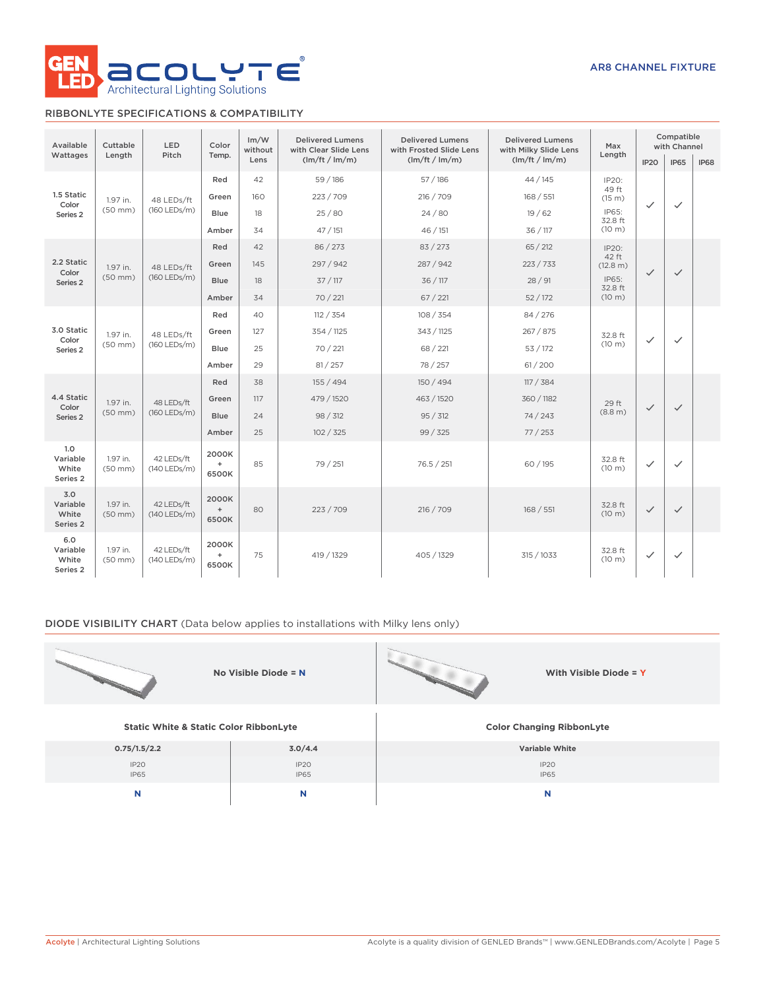

# RIBBONLYTE SPECIFICATIONS & COMPATIBILITY

| Available                                  | Cuttable                 | LED<br>Color               |                                 | Im/W<br>without | <b>Delivered Lumens</b><br>with Clear Slide Lens | <b>Delivered Lumens</b><br>with Frosted Slide Lens | <b>Delivered Lumens</b><br>with Milky Slide Lens | Max                         |              | Compatible<br>with Channel |  |  |  |
|--------------------------------------------|--------------------------|----------------------------|---------------------------------|-----------------|--------------------------------------------------|----------------------------------------------------|--------------------------------------------------|-----------------------------|--------------|----------------------------|--|--|--|
| Wattages                                   | Length                   | Pitch                      | Temp.<br>(lm/ft / lm/m)<br>Lens |                 | (lm/ft / lm/m)                                   | (lm/ft / lm/m)                                     | Length                                           | IP <sub>20</sub>            | <b>IP65</b>  | <b>IP68</b>                |  |  |  |
|                                            |                          |                            |                                 |                 | Red                                              | 42                                                 | 59 / 186                                         | 57/186                      | 44 / 145     | IP20:                      |  |  |  |
| 1.5 Static<br>Color                        | 1.97 in.                 | 48 LEDs/ft                 | Green                           | 160             | 223 / 709                                        | 216 / 709                                          | 168 / 551                                        | 49 ft<br>(15 m)             | $\checkmark$ | $\checkmark$               |  |  |  |
| Series 2                                   | $(50$ mm $)$             | (160 LEDs/m)               | Blue                            | 18              | 25/80                                            | 24/80                                              | 19/62                                            | IP65:<br>32.8 ft            |              |                            |  |  |  |
|                                            |                          |                            | Amber                           | 34              | 47/151                                           | 46/151                                             | 36 / 117                                         | (10 m)                      |              |                            |  |  |  |
|                                            |                          |                            | Red                             | 42              | 86 / 273                                         | 83 / 273                                           | 65 / 212                                         | IP20:                       |              |                            |  |  |  |
| 2.2 Static                                 | 1.97 in.<br>Color        | 48 LEDs/ft                 | Green                           | 145             | 297 / 942                                        | 287 / 942                                          | 223 / 733                                        | 42 ft<br>(12.8 m)           | $\checkmark$ | $\checkmark$               |  |  |  |
| Series 2                                   | $(50$ mm $)$             | (160 LEDs/m)               | <b>Blue</b>                     | 18              | 37/117                                           | 36 / 117                                           | 28/91                                            | IP65:<br>32.8 ft            |              |                            |  |  |  |
|                                            |                          |                            | Amber                           | 34              | 70 / 221                                         | 67 / 221                                           | 52/172                                           | (10 m)                      |              |                            |  |  |  |
|                                            |                          |                            | Red                             | 40              | 112 / 354                                        | 108 / 354                                          | 84 / 276                                         |                             |              |                            |  |  |  |
| 3.0 Static<br>Color<br>Series <sub>2</sub> | 1.97 in.                 | 48 LEDs/ft<br>(160 LEDs/m) | Green                           | 127             | 354 / 1125                                       | 343 / 1125                                         | 267 / 875                                        | 32.8 ft                     | $\checkmark$ | $\checkmark$               |  |  |  |
|                                            | $(50$ mm $)$             |                            | <b>Blue</b>                     | 25              | 70 / 221                                         | 68 / 221                                           | 53 / 172                                         | (10 m)                      |              |                            |  |  |  |
|                                            |                          |                            | Amber                           | 29              | 81 / 257                                         | 78 / 257                                           | 61/200                                           |                             |              |                            |  |  |  |
|                                            |                          |                            | Red                             | 38              | 155 / 494                                        | 150 / 494                                          | 117 / 384                                        |                             |              |                            |  |  |  |
| 4.4 Static<br>Color                        | 1.97 in.                 | 48 LEDs/ft<br>(160 LEDs/m) | Green                           | 117             | 479 / 1520                                       | 463 / 1520                                         | 360 / 1182                                       | 29 ft                       | $\checkmark$ |                            |  |  |  |
| Series 2                                   | $(50$ mm $)$             |                            | <b>Blue</b>                     | 24              | 98 / 312                                         | 95 / 312                                           | 74/243                                           | (8.8 m)                     |              | $\checkmark$               |  |  |  |
|                                            |                          |                            | Amber                           | 25              | 102 / 325                                        | 99/325                                             | 77/253                                           |                             |              |                            |  |  |  |
| 1.0<br>Variable<br>White<br>Series 2       | 1.97 in.<br>$(50$ mm $)$ | 42 LEDs/ft<br>(140 LEDs/m) | 2000K<br>$\ddot{}$<br>6500K     | 85              | 79 / 251                                         | 76.5 / 251                                         | 60 / 195                                         | 32.8 ft<br>(10 m)           | $\checkmark$ | $\checkmark$               |  |  |  |
| 3.0<br>Variable<br>White<br>Series 2       | 1.97 in.<br>$(50$ mm $)$ | 42 LEDs/ft<br>(140 LEDs/m) | 2000K<br>$\ddot{}$<br>6500K     | 80              | 223/709                                          | 216 / 709<br>168 / 551                             |                                                  | 32.8 ft<br>(10 m)           | $\checkmark$ | $\checkmark$               |  |  |  |
| 6.0<br>Variable<br>White<br>Series 2       | 1.97 in.<br>$(50$ mm $)$ | 42 LEDs/ft<br>(140 LEDs/m) | 2000K<br>$\ddot{}$<br>6500K     | 75              | 419 / 1329                                       | 405 / 1329                                         | 315 / 1033                                       | 32.8 ft<br>$(10 \text{ m})$ | $\checkmark$ | $\checkmark$               |  |  |  |

## DIODE VISIBILITY CHART (Data below applies to installations with Milky lens only)

|                                                   | No Visible Diode = $N$ | With Visible Diode = Y           |
|---------------------------------------------------|------------------------|----------------------------------|
| <b>Static White &amp; Static Color RibbonLyte</b> |                        | <b>Color Changing RibbonLyte</b> |
| 0.75/1.5/2.2                                      | 3.0/4.4                | Variable White                   |
| IP2O<br>IP65                                      | IP2O<br>IP65           | IP2O<br><b>IP65</b>              |
| N                                                 | N                      | N                                |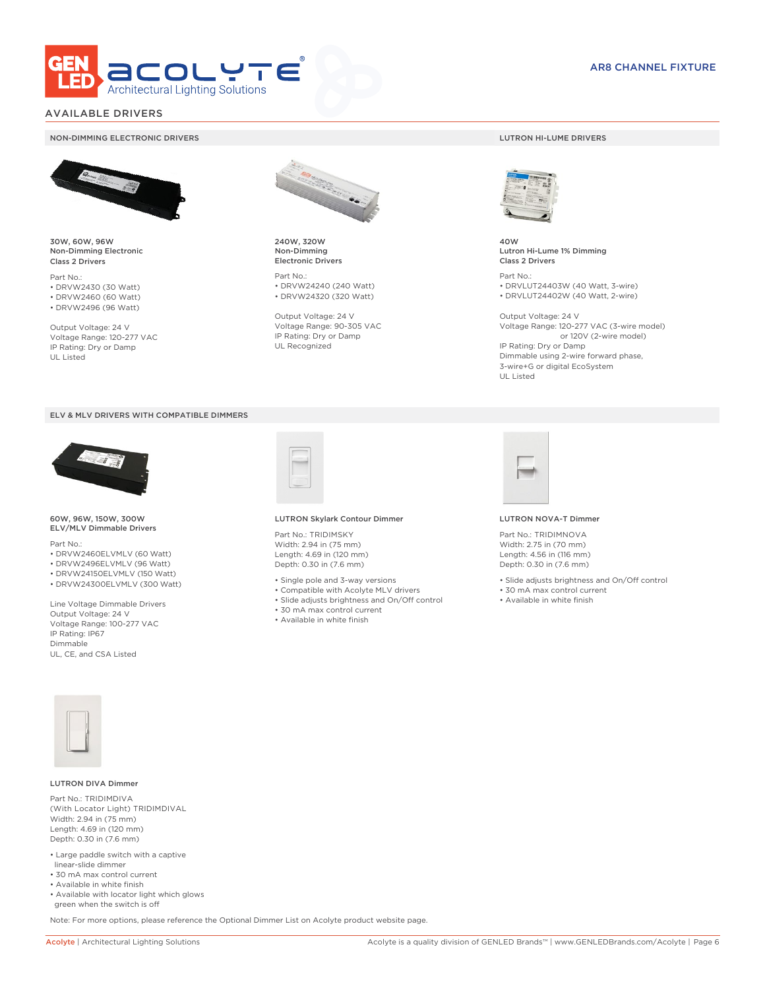

# AVAILABLE DRIVERS

### NON-DIMMING ELECTRONIC DRIVERS LUTRON HI-LUME DRIVERS



30W, 60W, 96W Non-Dimming Electronic Class 2 Drivers

Part No.: • DRVW2430 (30 Watt) • DRVW2460 (60 Watt)

• DRVW2496 (96 Watt)

Output Voltage: 24 V Voltage Range: 120-277 VAC IP Rating: Dry or Damp UL Listed





60W, 96W, 150W, 300W ELV/MLV Dimmable Drivers

Part No.:

- DRVW2460ELVMLV (60 Watt)
- DRVW2496ELVMLV (96 Watt)
- DRVW24150ELVMLV (150 Watt)
- DRVW24300ELVMLV (300 Watt)

Line Voltage Dimmable Drivers Output Voltage: 24 V Voltage Range: 100-277 VAC IP Rating: IP67 Dimmable UL, CE, and CSA Listed



240W, 320W Non-Dimming Electronic Drivers

Part No.: • DRVW24240 (240 Watt) • DRVW24320 (320 Watt)

Output Voltage: 24 V Voltage Range: 90-305 VAC IP Rating: Dry or Damp UL Recognized



40W Lutron Hi-Lume 1% Dimming Class 2 Drivers

Part No.: • DRVLUT24403W (40 Watt, 3-wire) • DRVLUT24402W (40 Watt, 2-wire)

Output Voltage: 24 V Voltage Range: 120-277 VAC (3-wire model) or 120V (2-wire model) IP Rating: Dry or Damp Dimmable using 2-wire forward phase, 3-wire+G or digital EcoSystem UL Listed



### LUTRON Skylark Contour Dimmer

Part No.: TRIDIMSKY Width: 2.94 in (75 mm) Length: 4.69 in (120 mm) Depth: 0.30 in (7.6 mm)

- Single pole and 3-way versions
- Compatible with Acolyte MLV drivers
- Slide adjusts brightness and On/Off control
- 30 mA max control current
- Available in white finish



### LUTRON NOVA-T Dimmer

Part No.: TRIDIMNOVA Width: 2.75 in (70 mm) Length: 4.56 in (116 mm) Depth: 0.30 in (7.6 mm)

- Slide adjusts brightness and On/Off control
- 30 mA max control current
- Available in white finish



### LUTRON DIVA Dimmer

Part No.: TRIDIMDIVA (With Locator Light) TRIDIMDIVAL Width: 2.94 in (75 mm) Length: 4.69 in (120 mm) Depth: 0.30 in (7.6 mm)

- Large paddle switch with a captive linear-slide dimmer
- 30 mA max control current
- Available in white finish
- Available with locator light which glows green when the switch is off

Note: For more options, please reference the Optional Dimmer List on Acolyte product website page.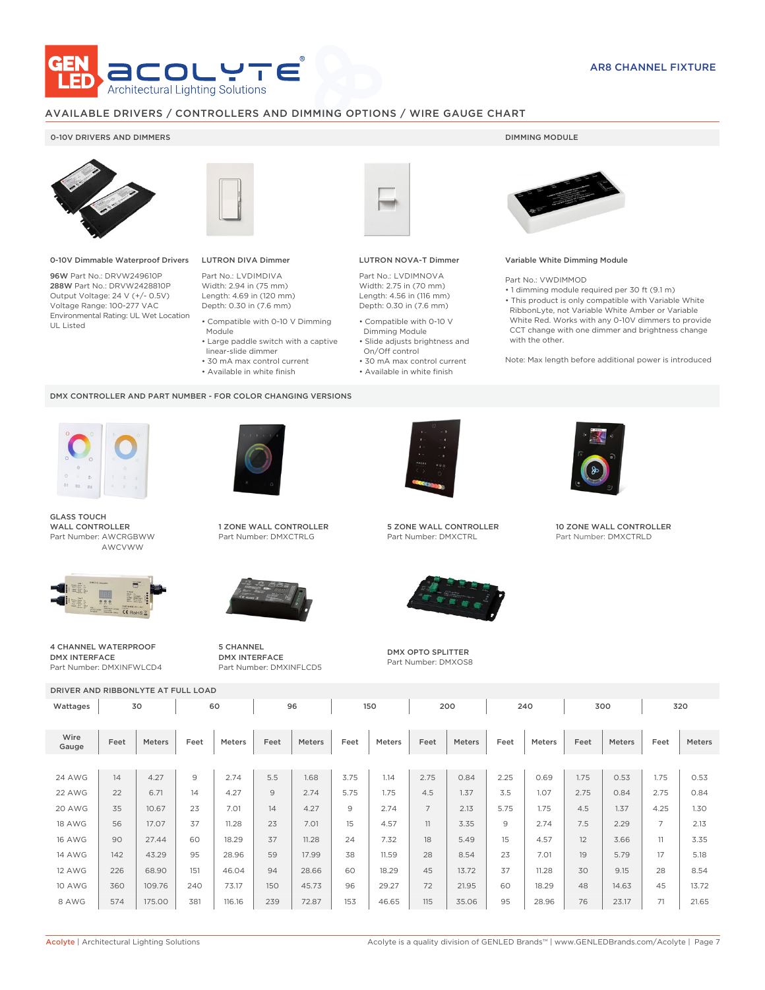

# AVAILABLE DRIVERS / CONTROLLERS AND DIMMING OPTIONS / WIRE GAUGE CHART

### 0-10V DRIVERS AND DIMMERS **DIMMING MODULE**



0-10V Dimmable Waterproof Drivers

96W Part No.: DRVW249610P 288W Part No.: DRVW2428810P Output Voltage: 24 V (+/- 0.5V) Voltage Range: 100-277 VAC Environmental Rating: UL Wet Location UL Listed



# LUTRON DIVA Dimmer

Part No.: LVDIMDIVA Width: 2.94 in (75 mm) Length: 4.69 in (120 mm) Depth: 0.30 in (7.6 mm)

- Compatible with 0-10 V Dimming Module
- Large paddle switch with a captive
- linear-slide dimmer
- 30 mA max control current
- Available in white finish

### DMX CONTROLLER AND PART NUMBER - FOR COLOR CHANGING VERSIONS



GLASS TOUCH WALL CONTROLLER Part Number: AWCRGBWW AWCVWW



4 CHANNEL WATERPROOF DMX INTERFACE Part Number: DMXINFWLCD4



1 ZONE WALL CONTROLLER Part Number: DMXCTRLG



5 CHANNEL DMX INTERFACE



### LUTRON NOVA-T Dimmer

Part No.: LVDIMNOVA Width: 2.75 in (70 mm) Length: 4.56 in (116 mm) Depth: 0.30 in (7.6 mm)

- Compatible with 0-10 V Dimming Module
- Slide adjusts brightness and On/Off control
- 30 mA max control current • Available in white finish
	-



### Variable White Dimming Module

Part No.: VWDIMMOD

• 1 dimming module required per 30 ft (9.1 m) • This product is only compatible with Variable White RibbonLyte, not Variable White Amber or Variable White Red. Works with any 0-10V dimmers to provide CCT change with one dimmer and brightness change with the other.

Note: Max length before additional power is introduced



5 ZONE WALL CONTROLLER Part Number: DMXCTRL



DMX OPTO SPLITTER Part Number: DMXOS8



10 ZONE WALL CONTROLLER Part Number: DMXCTRLD

| <b>SUBJINING WATERFROOF</b><br><b>DMX INTERFACE</b><br>Part Number: DMXINFWLCD4 |      |        |      |        | J CHAIVIVEL<br><b>DMX OPTO SPLITTER</b><br><b>DMX INTERFACE</b><br>Part Number: DMXOS8<br>Part Number: DMXINFLCD5 |        |      |        |                |               |      |        |      |        |                |        |
|---------------------------------------------------------------------------------|------|--------|------|--------|-------------------------------------------------------------------------------------------------------------------|--------|------|--------|----------------|---------------|------|--------|------|--------|----------------|--------|
| DRIVER AND RIBBONLYTE AT FULL LOAD                                              |      |        |      |        |                                                                                                                   |        |      |        |                |               |      |        |      |        |                |        |
| Wattages                                                                        |      | 30     |      | 60     |                                                                                                                   | 96     |      | 150    |                | 200           |      | 240    |      | 300    |                | 320    |
| Wire<br>Gauge                                                                   | Feet | Meters | Feet | Meters | Feet                                                                                                              | Meters | Feet | Meters | Feet           | <b>Meters</b> | Feet | Meters | Feet | Meters | Feet           | Meters |
|                                                                                 |      |        |      |        |                                                                                                                   |        |      |        |                |               |      |        |      |        |                |        |
| <b>24 AWG</b>                                                                   | 14   | 4.27   | 9    | 2.74   | 5.5                                                                                                               | 1.68   | 3.75 | 1.14   | 2.75           | 0.84          | 2.25 | 0.69   | 1.75 | 0.53   | 1.75           | 0.53   |
| 22 AWG                                                                          | 22   | 6.71   | 14   | 4.27   | 9                                                                                                                 | 2.74   | 5.75 | 1.75   | 4.5            | 1.37          | 3.5  | 1.07   | 2.75 | 0.84   | 2.75           | 0.84   |
| 20 AWG                                                                          | 35   | 10.67  | 23   | 7.01   | 14                                                                                                                | 4.27   | 9    | 2.74   | $\overline{7}$ | 2.13          | 5.75 | 1.75   | 4.5  | 1.37   | 4.25           | 1.30   |
| <b>18 AWG</b>                                                                   | 56   | 17.07  | 37   | 11.28  | 23                                                                                                                | 7.01   | 15   | 4.57   | 11             | 3.35          | 9    | 2.74   | 7.5  | 2.29   | $\overline{7}$ | 2.13   |
| <b>16 AWG</b>                                                                   | 90   | 27.44  | 60   | 18.29  | 37                                                                                                                | 11.28  | 24   | 7.32   | 18             | 5.49          | 15   | 4.57   | 12   | 3.66   | 11             | 3.35   |
| <b>14 AWG</b>                                                                   | 142  | 43.29  | 95   | 28.96  | 59                                                                                                                | 17.99  | 38   | 11.59  | 28             | 8.54          | 23   | 7.01   | 19   | 5.79   | 17             | 5.18   |
| <b>12 AWG</b>                                                                   | 226  | 68.90  | 151  | 46.04  | 94                                                                                                                | 28.66  | 60   | 18.29  | 45             | 13.72         | 37   | 11.28  | 30   | 9.15   | 28             | 8.54   |
| <b>10 AWG</b>                                                                   | 360  | 109.76 | 240  | 73.17  | 150                                                                                                               | 45.73  | 96   | 29.27  | 72             | 21.95         | 60   | 18.29  | 48   | 14.63  | 45             | 13.72  |
| 8 AWG                                                                           | 574  | 175.00 | 381  | 116.16 | 239                                                                                                               | 72.87  | 153  | 46.65  | 115            | 35.06         | 95   | 28.96  | 76   | 23.17  | 71             | 21.65  |